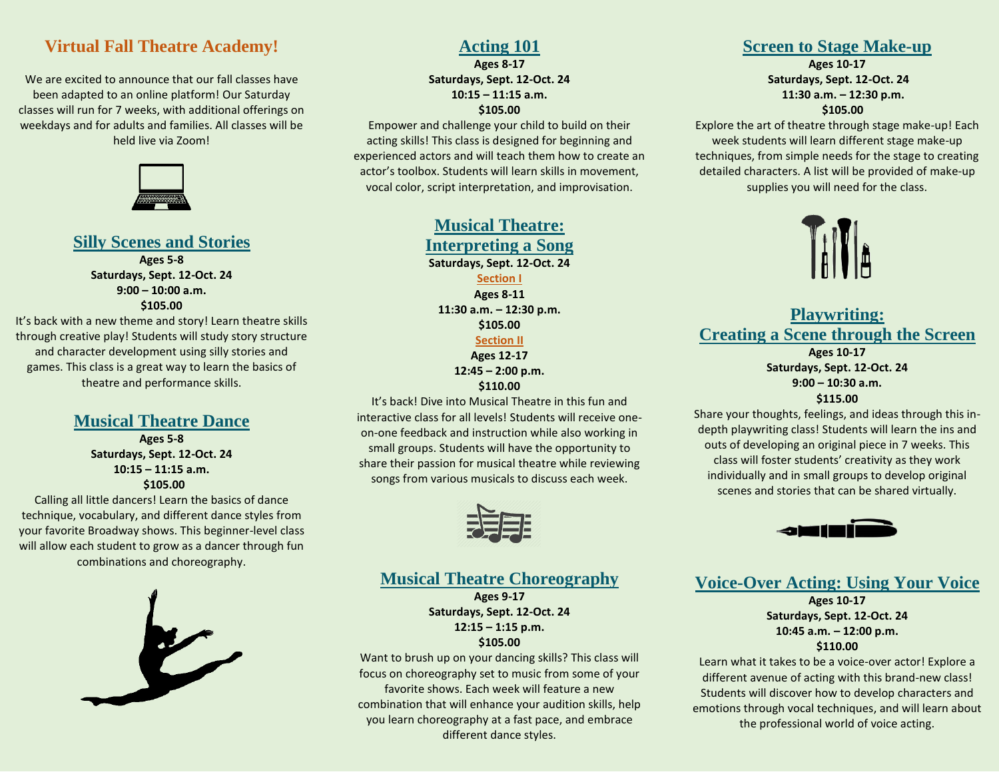#### **Virtual Fall Theatre Academy!**

We are excited to announce that our fall classes have been adapted to an online platform! Our Saturday classes will run for 7 weeks, with additional offerings on weekdays and for adults and families. All classes will be held live via Zoom!



#### **Silly Scenes and Stories**

**Ages 5-8 Saturdays, Sept. 12-Oct. 24 9:00 – 10:00 a.m. \$105.00**

It's back with a new theme and story! Learn theatre skills through creative play! Students will study story structure and character development using silly stories and games. This class is a great way to learn the basics of theatre and performance skills.

> **Musical Theatre Dance Ages 5-8 Saturdays, Sept. 12-Oct. 24 10:15 – 11:15 a.m. \$105.00**

Calling all little dancers! Learn the basics of dance technique, vocabulary, and different dance styles from your favorite Broadway shows. This beginner-level class will allow each student to grow as a dancer through fun combinations and choreography.



#### **Acting 101**

**Ages 8-17 Saturdays, Sept. 12-Oct. 24 10:15 – 11:15 a.m. \$105.00**

Empower and challenge your child to build on their acting skills! This class is designed for beginning and experienced actors and will teach them how to create an actor's toolbox. Students will learn skills in movement, vocal color, script interpretation, and improvisation.

> **Musical Theatre: Interpreting a Song Saturdays, Sept. 12-Oct. 24 Section I Ages 8-11 11:30 a.m. – 12:30 p.m. \$105.00 Section II Ages 12-17 12:45 – 2:00 p.m.**

**\$110.00**

It's back! Dive into Musical Theatre in this fun and interactive class for all levels! Students will receive oneon-one feedback and instruction while also working in small groups. Students will have the opportunity to share their passion for musical theatre while reviewing songs from various musicals to discuss each week.



#### **Musical Theatre Choreography**

**Ages 9-17 Saturdays, Sept. 12-Oct. 24 12:15 – 1:15 p.m. \$105.00**

Want to brush up on your dancing skills? This class will focus on choreography set to music from some of your favorite shows. Each week will feature a new combination that will enhance your audition skills, help you learn choreography at a fast pace, and embrace different dance styles.

#### **Screen to Stage Make-up**

**Ages 10-17 Saturdays, Sept. 12-Oct. 24 11:30 a.m. – 12:30 p.m. \$105.00**

Explore the art of theatre through stage make-up! Each week students will learn different stage make-up techniques, from simple needs for the stage to creating detailed characters. A list will be provided of make-up supplies you will need for the class.



**Playwriting: Creating a Scene through the Screen Ages 10-17 Saturdays, Sept. 12-Oct. 24 9:00 – 10:30 a.m. \$115.00**

Share your thoughts, feelings, and ideas through this indepth playwriting class! Students will learn the ins and outs of developing an original piece in 7 weeks. This class will foster students' creativity as they work individually and in small groups to develop original scenes and stories that can be shared virtually.



**Voice-Over Acting: Using Your Voice**

**Ages 10-17 Saturdays, Sept. 12-Oct. 24 10:45 a.m. – 12:00 p.m. \$110.00**

Learn what it takes to be a voice-over actor! Explore a different avenue of acting with this brand-new class! Students will discover how to develop characters and emotions through vocal techniques, and will learn about the professional world of voice acting.